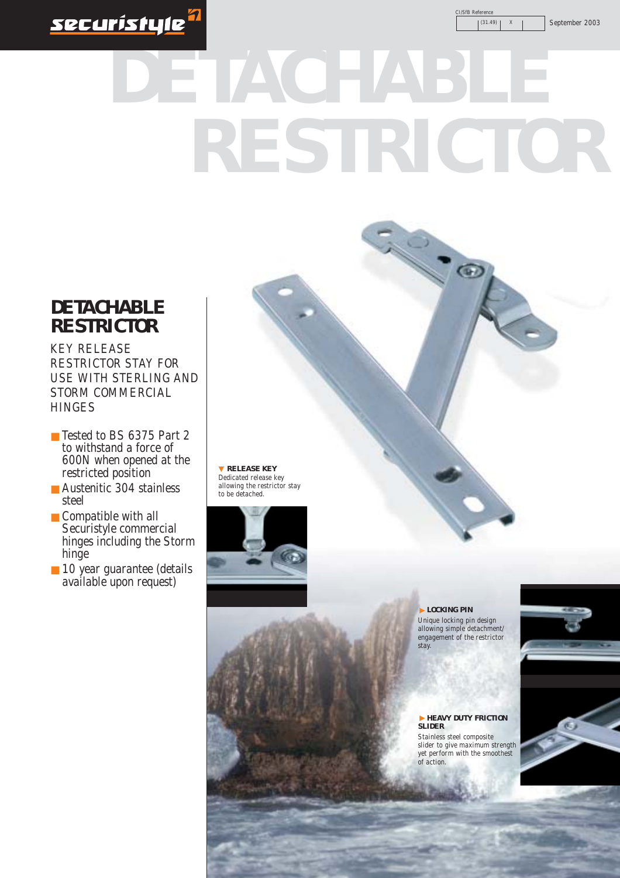

CI/SfB Reference

 $(31.49)$  | X | September 2003

## **DETACHABLE RESTRICTOR**

#### **DETACHABLE RESTRICTOR**

KEY RELEASE RESTRICTOR STAY FOR USE WITH STERLING AND STORM COMMERCIAL **HINGES** 

- Tested to BS 6375 Part 2 to withstand a force of 600N when opened at the restricted position
- Austenitic 304 stainless steel
- Compatible with all Securistyle commercial hinges including the Storm hinge
- 10 year guarantee (details available upon request)

▼ **RELEASE KEY**  Dedicated release key allowing the restrictor stay to be detached.



**LOCKING PIN**  Unique locking pin design allowing simple detachment/ engagement of the restrictor stay.

**HEAVY DUTY FRICTION SLIDER**  Stainless steel composite slider to give maximum strength yet perform with the smoothest<br>of action of action. ▼ ▼